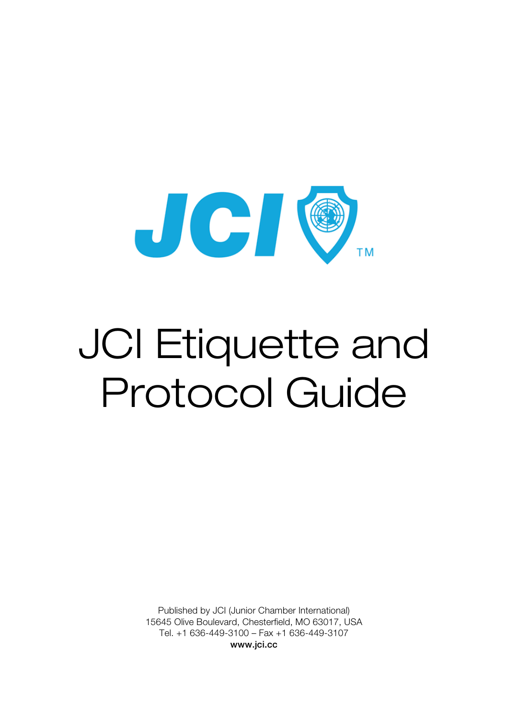

# JCI Etiquette and Protocol Guide

Published by JCI (Junior Chamber International) 15645 Olive Boulevard, Chesterfield, MO 63017, USA Tel. +1 636-449-3100 – Fax +1 636-449-3107 www.jci.cc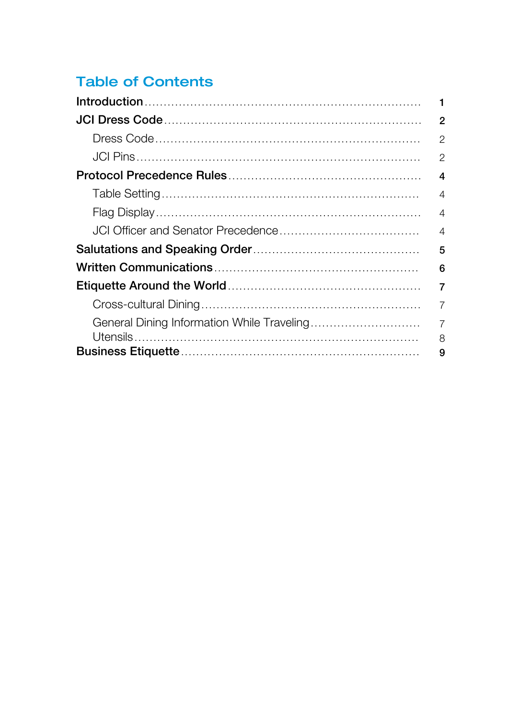### **Table of Contents**

| 1                   |
|---------------------|
| $\overline{2}$      |
| $\overline{2}$      |
| $\overline{2}$      |
| $\boldsymbol{4}$    |
| 4                   |
| $\overline{4}$      |
| $\overline{4}$      |
| 5                   |
| 6                   |
| $\overline{7}$      |
| 7                   |
| $\overline{7}$<br>8 |
| 9                   |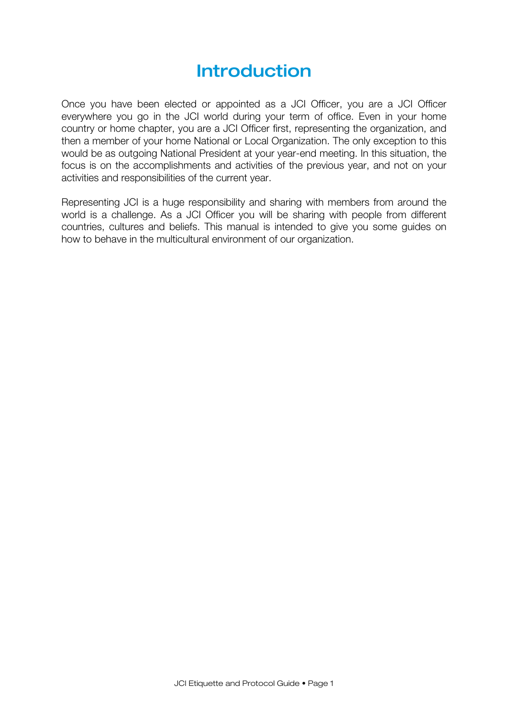## Introduction

Once you have been elected or appointed as a JCI Officer, you are a JCI Officer everywhere you go in the JCI world during your term of office. Even in your home country or home chapter, you are a JCI Officer first, representing the organization, and then a member of your home National or Local Organization. The only exception to this would be as outgoing National President at your year-end meeting. In this situation, the focus is on the accomplishments and activities of the previous year, and not on your activities and responsibilities of the current year.

Representing JCI is a huge responsibility and sharing with members from around the world is a challenge. As a JCI Officer you will be sharing with people from different countries, cultures and beliefs. This manual is intended to give you some guides on how to behave in the multicultural environment of our organization.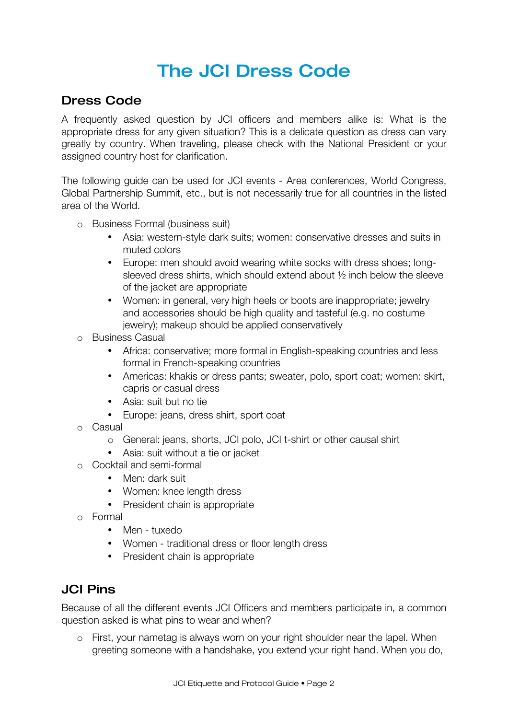## The JCI Dress Code

#### Dress Code

A frequently asked question by JCI officers and members alike is: What is the appropriate dress for any given situation? This is a delicate question as dress can vary greatly by country. When traveling, please check with the National President or your assigned country host for clarification.

The following guide can be used for JCI events - Area conferences, World Congress, Global Partnership Summit, etc., but is not necessarily true for all countries in the listed area of the World.

- o Business Formal (business suit)
	- Asia: western-style dark suits; women: conservative dresses and suits in muted colors
	- Europe: men should avoid wearing white socks with dress shoes; longsleeved dress shirts, which should extend about ½ inch below the sleeve of the jacket are appropriate
	- Women: in general, very high heels or boots are inappropriate; jewelry and accessories should be high quality and tasteful (e.g. no costume jewelry); makeup should be applied conservatively
- o Business Casual
	- Africa: conservative; more formal in English-speaking countries and less formal in French-speaking countries
	- Americas: khakis or dress pants; sweater, polo, sport coat; women: skirt, capris or casual dress
	- Asia: suit but no tie
	- Europe: jeans, dress shirt, sport coat
- o Casual
	- o General: jeans, shorts, JCI polo, JCI t-shirt or other causal shirt
	- Asia: suit without a tie or jacket
- o Cocktail and semi-formal
	- Men: dark suit
	- Women: knee length dress
	- President chain is appropriate
- o Formal
	- Men tuxedo
	- Women traditional dress or floor length dress
	- President chain is appropriate

#### JCI Pins

Because of all the different events JCI Officers and members participate in, a common question asked is what pins to wear and when?

o First, your nametag is always worn on your right shoulder near the lapel. When greeting someone with a handshake, you extend your right hand. When you do,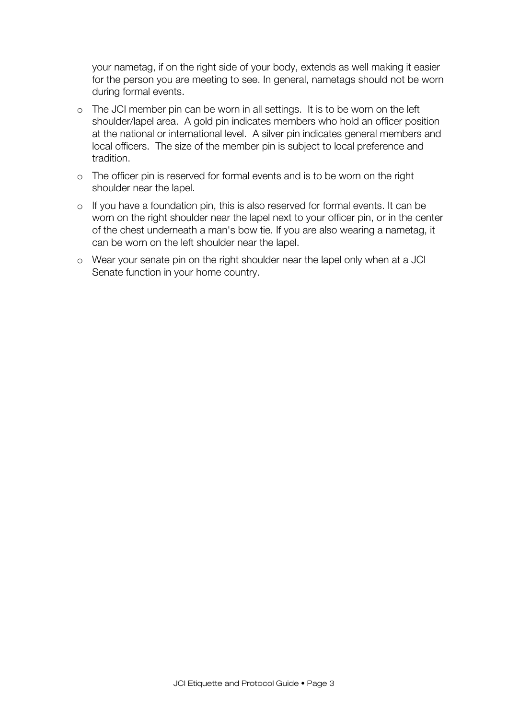your nametag, if on the right side of your body, extends as well making it easier for the person you are meeting to see. In general, nametags should not be worn during formal events.

- o The JCI member pin can be worn in all settings. It is to be worn on the left shoulder/lapel area. A gold pin indicates members who hold an officer position at the national or international level. A silver pin indicates general members and local officers. The size of the member pin is subject to local preference and tradition.
- o The officer pin is reserved for formal events and is to be worn on the right shoulder near the lapel.
- o If you have a foundation pin, this is also reserved for formal events. It can be worn on the right shoulder near the lapel next to your officer pin, or in the center of the chest underneath a man's bow tie. If you are also wearing a nametag, it can be worn on the left shoulder near the lapel.
- o Wear your senate pin on the right shoulder near the lapel only when at a JCI Senate function in your home country.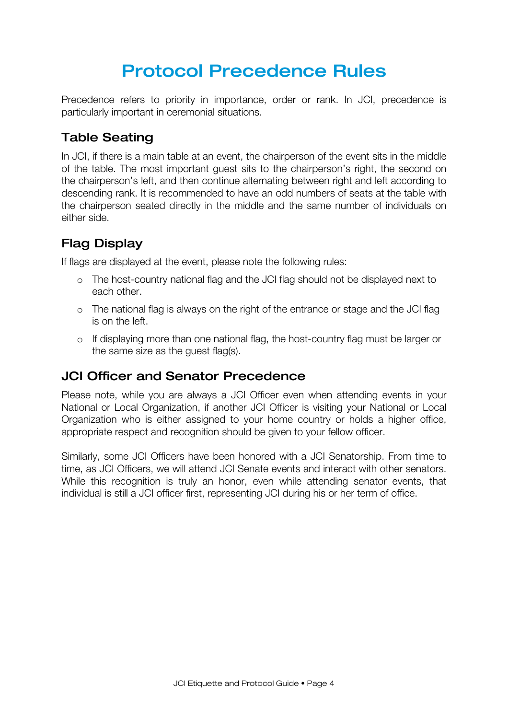## Protocol Precedence Rules

Precedence refers to priority in importance, order or rank. In JCI, precedence is particularly important in ceremonial situations.

#### Table Seating

In JCI, if there is a main table at an event, the chairperson of the event sits in the middle of the table. The most important guest sits to the chairperson's right, the second on the chairperson's left, and then continue alternating between right and left according to descending rank. It is recommended to have an odd numbers of seats at the table with the chairperson seated directly in the middle and the same number of individuals on either side.

#### Flag Display

If flags are displayed at the event, please note the following rules:

- o The host-country national flag and the JCI flag should not be displayed next to each other.
- o The national flag is always on the right of the entrance or stage and the JCI flag is on the left.
- o If displaying more than one national flag, the host-country flag must be larger or the same size as the guest flag(s).

#### JCI Officer and Senator Precedence

Please note, while you are always a JCI Officer even when attending events in your National or Local Organization, if another JCI Officer is visiting your National or Local Organization who is either assigned to your home country or holds a higher office, appropriate respect and recognition should be given to your fellow officer.

Similarly, some JCI Officers have been honored with a JCI Senatorship. From time to time, as JCI Officers, we will attend JCI Senate events and interact with other senators. While this recognition is truly an honor, even while attending senator events, that individual is still a JCI officer first, representing JCI during his or her term of office.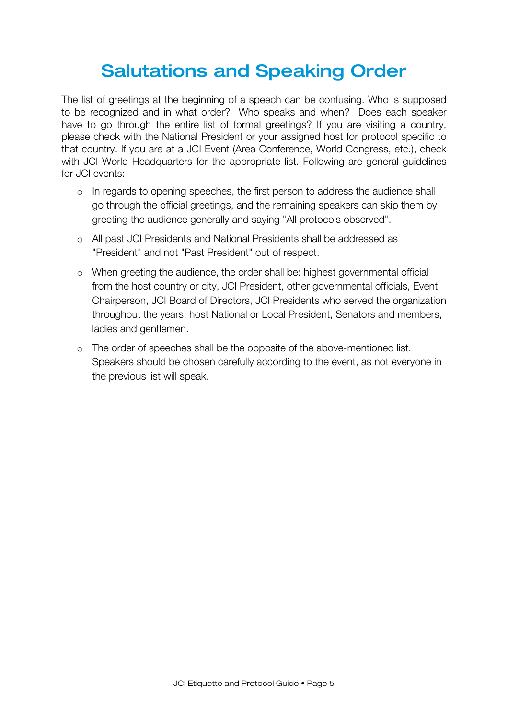## Salutations and Speaking Order

The list of greetings at the beginning of a speech can be confusing. Who is supposed to be recognized and in what order? Who speaks and when? Does each speaker have to go through the entire list of formal greetings? If you are visiting a country, please check with the National President or your assigned host for protocol specific to that country. If you are at a JCI Event (Area Conference, World Congress, etc.), check with JCI World Headquarters for the appropriate list. Following are general guidelines for JCI events:

- o In regards to opening speeches, the first person to address the audience shall go through the official greetings, and the remaining speakers can skip them by greeting the audience generally and saying "All protocols observed".
- o All past JCI Presidents and National Presidents shall be addressed as "President" and not "Past President" out of respect.
- o When greeting the audience, the order shall be: highest governmental official from the host country or city, JCI President, other governmental officials, Event Chairperson, JCI Board of Directors, JCI Presidents who served the organization throughout the years, host National or Local President, Senators and members, ladies and gentlemen.
- o The order of speeches shall be the opposite of the above-mentioned list. Speakers should be chosen carefully according to the event, as not everyone in the previous list will speak.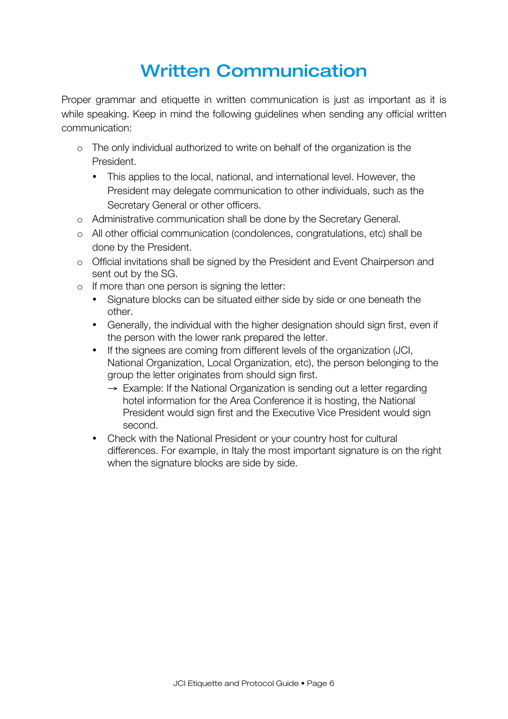# Written Communication

Proper grammar and etiquette in written communication is just as important as it is while speaking. Keep in mind the following guidelines when sending any official written communication:

- o The only individual authorized to write on behalf of the organization is the President.
	- This applies to the local, national, and international level. However, the President may delegate communication to other individuals, such as the Secretary General or other officers.
- o Administrative communication shall be done by the Secretary General.
- o All other official communication (condolences, congratulations, etc) shall be done by the President.
- o Official invitations shall be signed by the President and Event Chairperson and sent out by the SG.
- o If more than one person is signing the letter:
	- Signature blocks can be situated either side by side or one beneath the other.
	- Generally, the individual with the higher designation should sign first, even if the person with the lower rank prepared the letter.
	- If the signees are coming from different levels of the organization (JCI, National Organization, Local Organization, etc), the person belonging to the group the letter originates from should sign first.
		- $\rightarrow$  Example: If the National Organization is sending out a letter regarding hotel information for the Area Conference it is hosting, the National President would sign first and the Executive Vice President would sign second.
	- Check with the National President or your country host for cultural differences. For example, in Italy the most important signature is on the right when the signature blocks are side by side.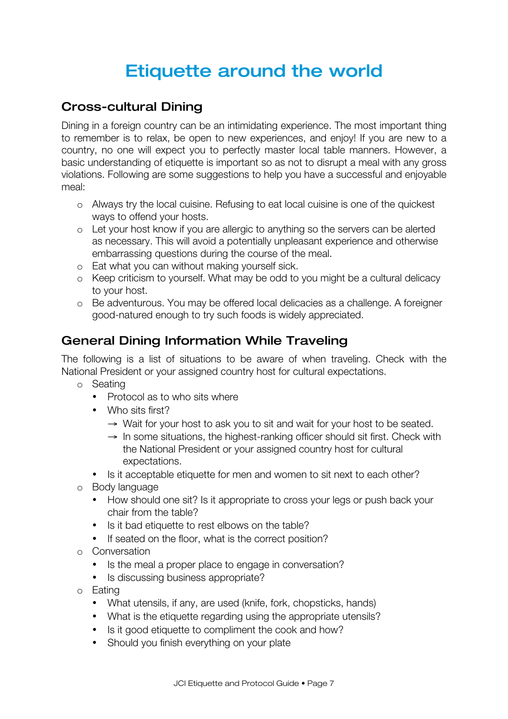## Etiquette around the world

#### Cross-cultural Dining

Dining in a foreign country can be an intimidating experience. The most important thing to remember is to relax, be open to new experiences, and enjoy! If you are new to a country, no one will expect you to perfectly master local table manners. However, a basic understanding of etiquette is important so as not to disrupt a meal with any gross violations. Following are some suggestions to help you have a successful and enjoyable meal:

- o Always try the local cuisine. Refusing to eat local cuisine is one of the quickest ways to offend your hosts.
- o Let your host know if you are allergic to anything so the servers can be alerted as necessary. This will avoid a potentially unpleasant experience and otherwise embarrassing questions during the course of the meal.
- o Eat what you can without making yourself sick.
- o Keep criticism to yourself. What may be odd to you might be a cultural delicacy to your host.
- o Be adventurous. You may be offered local delicacies as a challenge. A foreigner good-natured enough to try such foods is widely appreciated.

#### General Dining Information While Traveling

The following is a list of situations to be aware of when traveling. Check with the National President or your assigned country host for cultural expectations.

- o Seating
	- Protocol as to who sits where
	- Who sits first?
		- $\rightarrow$  Wait for your host to ask you to sit and wait for your host to be seated.
		- $\rightarrow$  In some situations, the highest-ranking officer should sit first. Check with the National President or your assigned country host for cultural expectations.
	- Is it acceptable etiquette for men and women to sit next to each other?
- o Body language
	- How should one sit? Is it appropriate to cross your legs or push back your chair from the table?
	- Is it bad etiquette to rest elbows on the table?
	- If seated on the floor, what is the correct position?
- o Conversation
	- Is the meal a proper place to engage in conversation?
	- Is discussing business appropriate?
- o Eating
	- What utensils, if any, are used (knife, fork, chopsticks, hands)
	- What is the etiquette regarding using the appropriate utensils?
	- Is it good etiquette to compliment the cook and how?
	- Should you finish everything on your plate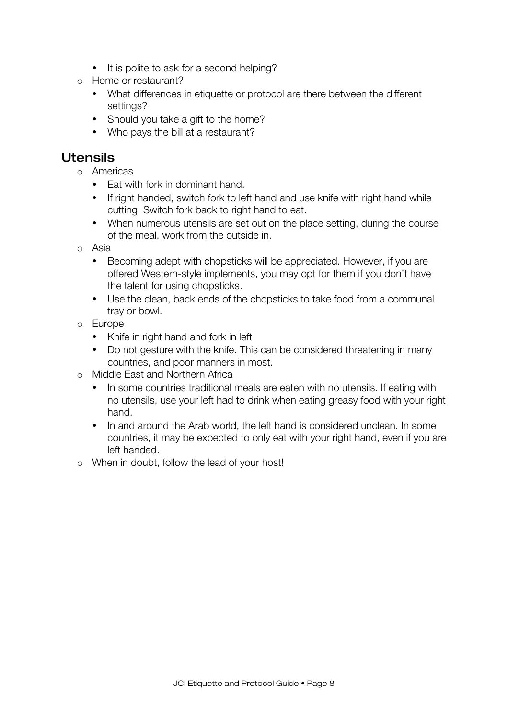- It is polite to ask for a second helping?
- o Home or restaurant?
	- What differences in etiquette or protocol are there between the different settings?
	- Should you take a gift to the home?
	- Who pays the bill at a restaurant?

#### Utensils

- o Americas
	- Eat with fork in dominant hand.
	- If right handed, switch fork to left hand and use knife with right hand while cutting. Switch fork back to right hand to eat.
	- When numerous utensils are set out on the place setting, during the course of the meal, work from the outside in.
- o Asia
	- Becoming adept with chopsticks will be appreciated. However, if you are offered Western-style implements, you may opt for them if you don't have the talent for using chopsticks.
	- Use the clean, back ends of the chopsticks to take food from a communal tray or bowl.
- o Europe
	- Knife in right hand and fork in left
	- Do not gesture with the knife. This can be considered threatening in many countries, and poor manners in most.
- o Middle East and Northern Africa
	- In some countries traditional meals are eaten with no utensils. If eating with no utensils, use your left had to drink when eating greasy food with your right hand.
	- In and around the Arab world, the left hand is considered unclean, In some countries, it may be expected to only eat with your right hand, even if you are left handed.
- o When in doubt, follow the lead of your host!